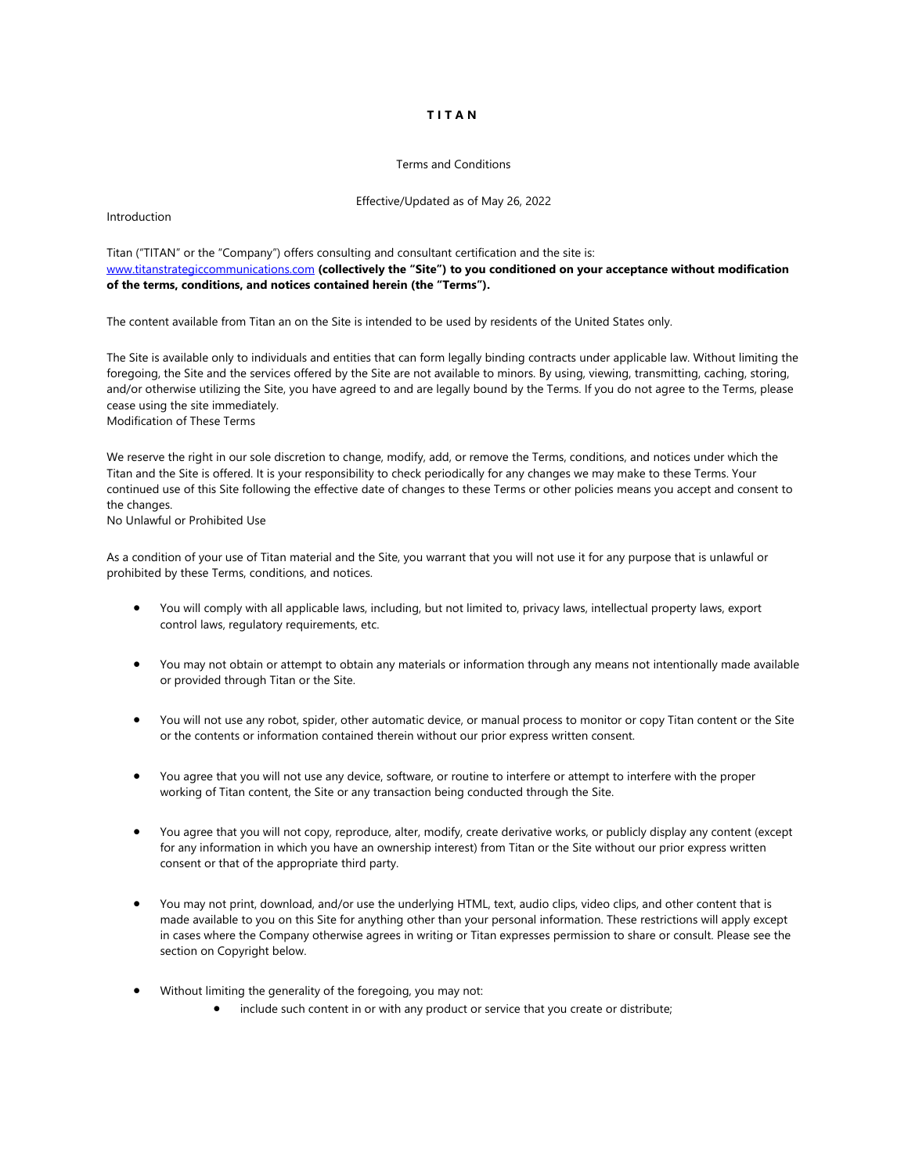# **TITAN**

#### Terms and Conditions

#### Effective/Updated as of May 26, 2022

Introduction

Titan ("TITAN" or the "Company") offers consulting and consultant certification and the site is: [www.titanstrategiccommunications.com](http://www.titanstrategiccommunications.com/) **(collectively the "Site") to you conditioned on your acceptance without modification of the terms, conditions, and notices contained herein (the "Terms").**

The content available from Titan an on the Site is intended to be used by residents of the United States only.

The Site is available only to individuals and entities that can form legally binding contracts under applicable law. Without limiting the foregoing, the Site and the services offered by the Site are not available to minors. By using, viewing, transmitting, caching, storing, and/or otherwise utilizing the Site, you have agreed to and are legally bound by the Terms. If you do not agree to the Terms, please cease using the site immediately. Modification of These Terms

We reserve the right in our sole discretion to change, modify, add, or remove the Terms, conditions, and notices under which the Titan and the Site is offered. It is your responsibility to check periodically for any changes we may make to these Terms. Your continued use of this Site following the effective date of changes to these Terms or other policies means you accept and consent to the changes.

No Unlawful or Prohibited Use

As a condition of your use of Titan material and the Site, you warrant that you will not use it for any purpose that is unlawful or prohibited by these Terms, conditions, and notices.

- You will comply with all applicable laws, including, but not limited to, privacy laws, intellectual property laws, export control laws, regulatory requirements, etc.
- You may not obtain or attempt to obtain any materials or information through any means not intentionally made available or provided through Titan or the Site.
- You will not use any robot, spider, other automatic device, or manual process to monitor or copy Titan content or the Site or the contents or information contained therein without our prior express written consent.
- You agree that you will not use any device, software, or routine to interfere or attempt to interfere with the proper working of Titan content, the Site or any transaction being conducted through the Site.
- You agree that you will not copy, reproduce, alter, modify, create derivative works, or publicly display any content (except for any information in which you have an ownership interest) from Titan or the Site without our prior express written consent or that of the appropriate third party.
- You may not print, download, and/or use the underlying HTML, text, audio clips, video clips, and other content that is made available to you on this Site for anything other than your personal information. These restrictions will apply except in cases where the Company otherwise agrees in writing or Titan expresses permission to share or consult. Please see the section on Copyright below.
- Without limiting the generality of the foregoing, you may not:
	- include such content in or with any product or service that you create or distribute;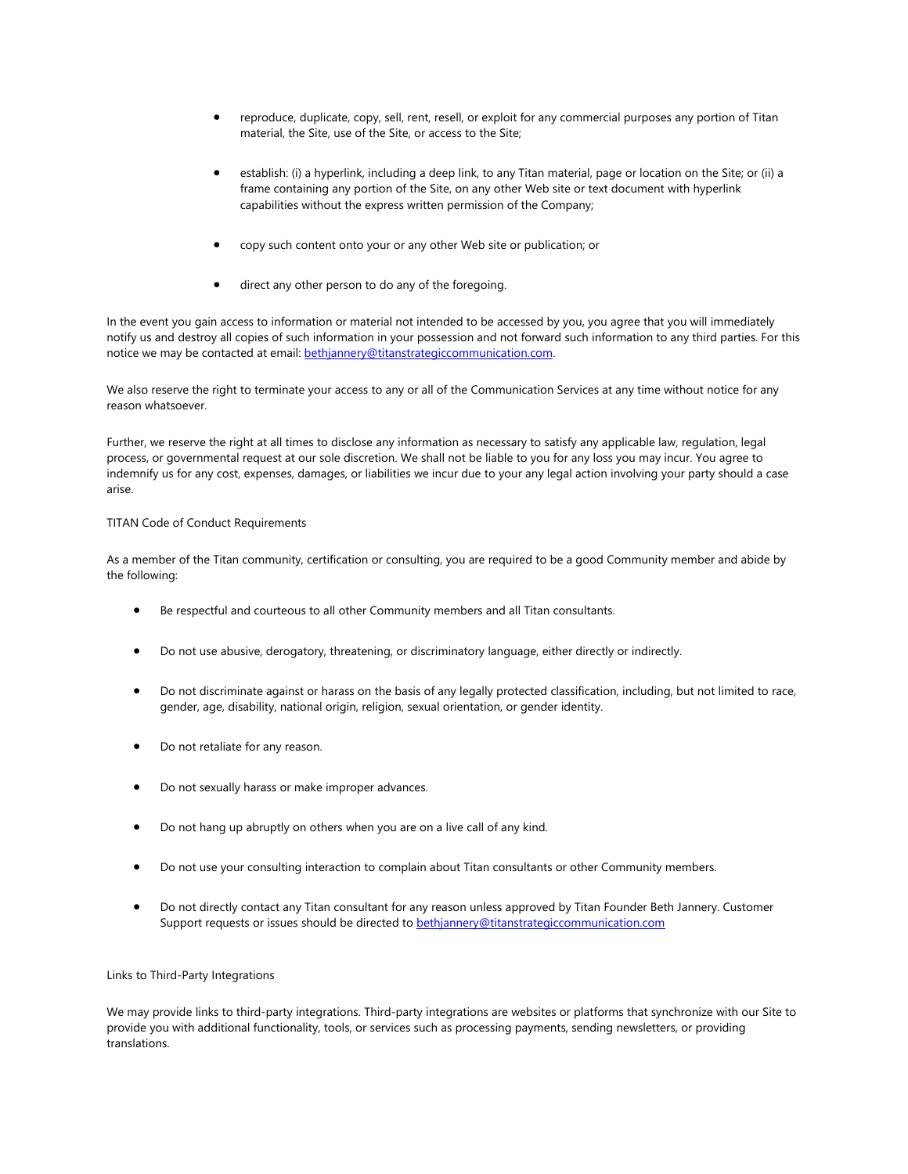- reproduce, duplicate, copy, sell, rent, resell, or exploit for any commercial purposes any portion of Titan material, the Site, use of the Site, or access to the Site;
- establish: (i) a hyperlink, including a deep link, to any Titan material, page or location on the Site; or (ii) a frame containing any portion of the Site, on any other Web site or text document with hyperlink capabilities without the express written permission of the Company;
- copy such content onto your or any other Web site or publication; or
- direct any other person to do any of the foregoing.

In the event you gain access to information or material not intended to be accessed by you, you agree that you will immediately notify us and destroy all copies of such information in your possession and not forward such information to any third parties. For this notice we may be contacted at email: [bethjannery@titanstrategiccommunication.com.](mailto:bethjannery@titanstrategiccommunication.com) 

We also reserve the right to terminate your access to any or all of the Communication Services at any time without notice for any reason whatsoever.

Further, we reserve the right at all times to disclose any information as necessary to satisfy any applicable law, regulation, legal process, or governmental request at our sole discretion. We shall not be liable to you for any loss you may incur. You agree to indemnify us for any cost, expenses, damages, or liabilities we incur due to your any legal action involving your party should a case arise.

### TITAN Code of Conduct Requirements

As a member of the Titan community, certification or consulting, you are required to be a good Community member and abide by the following:

- Be respectful and courteous to all other Community members and all Titan consultants.
- Do not use abusive, derogatory, threatening, or discriminatory language, either directly or indirectly.
- Do not discriminate against or harass on the basis of any legally protected classification, including, but not limited to race, gender, age, disability, national origin, religion, sexual orientation, or gender identity.
- Do not retaliate for any reason.
- Do not sexually harass or make improper advances.
- Do not hang up abruptly on others when you are on a live call of any kind.
- Do not use your consulting interaction to complain about Titan consultants or other Community members.
- Do not directly contact any Titan consultant for any reason unless approved by Titan Founder Beth Jannery. Customer Support requests or issues should be directed to **[bethjannery@titanstrategiccommunication.com](mailto:bethjannery@titanstrategiccommunication.com)**

#### Links to Third-Party Integrations

We may provide links to third-party integrations. Third-party integrations are websites or platforms that synchronize with our Site to provide you with additional functionality, tools, or services such as processing payments, sending newsletters, or providing translations.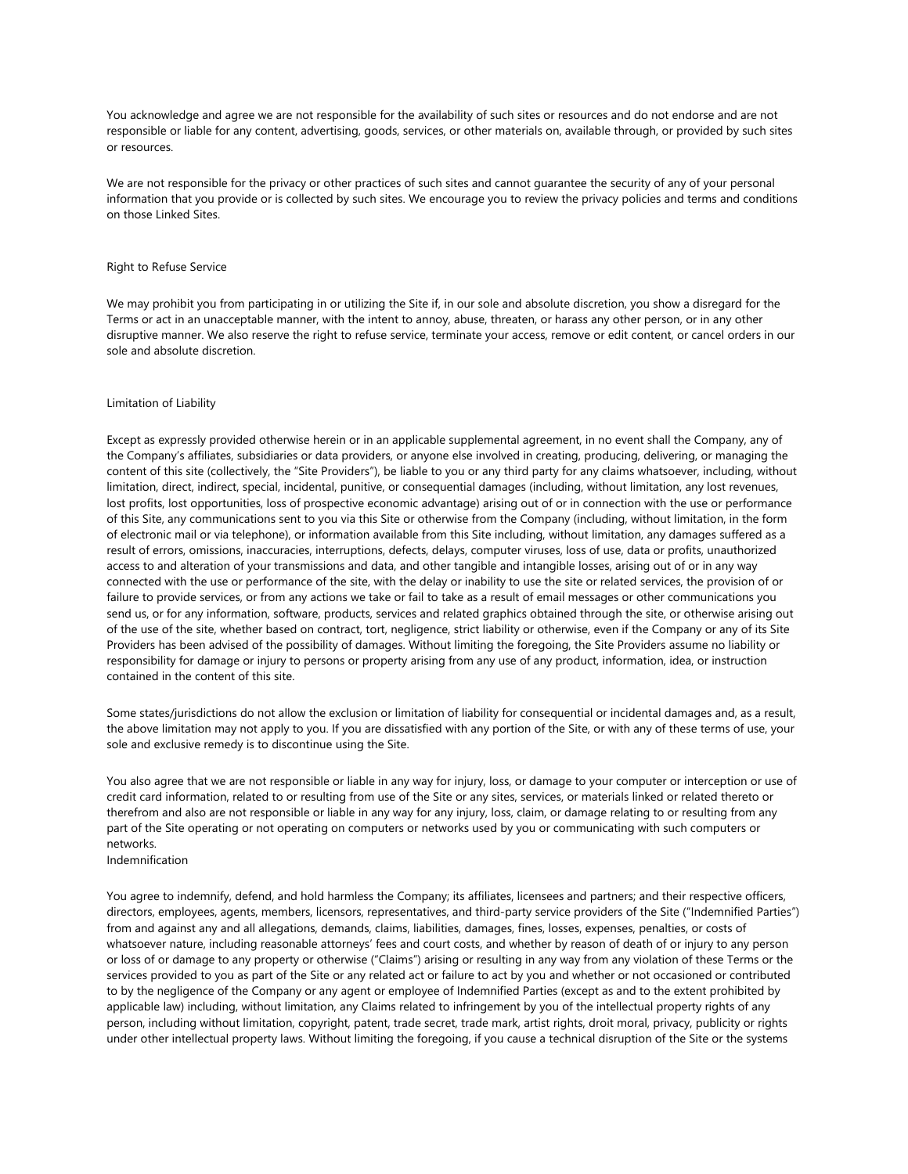You acknowledge and agree we are not responsible for the availability of such sites or resources and do not endorse and are not responsible or liable for any content, advertising, goods, services, or other materials on, available through, or provided by such sites or resources.

We are not responsible for the privacy or other practices of such sites and cannot guarantee the security of any of your personal information that you provide or is collected by such sites. We encourage you to review the privacy policies and terms and conditions on those Linked Sites.

#### Right to Refuse Service

We may prohibit you from participating in or utilizing the Site if, in our sole and absolute discretion, you show a disregard for the Terms or act in an unacceptable manner, with the intent to annoy, abuse, threaten, or harass any other person, or in any other disruptive manner. We also reserve the right to refuse service, terminate your access, remove or edit content, or cancel orders in our sole and absolute discretion.

#### Limitation of Liability

Except as expressly provided otherwise herein or in an applicable supplemental agreement, in no event shall the Company, any of the Company's affiliates, subsidiaries or data providers, or anyone else involved in creating, producing, delivering, or managing the content of this site (collectively, the "Site Providers"), be liable to you or any third party for any claims whatsoever, including, without limitation, direct, indirect, special, incidental, punitive, or consequential damages (including, without limitation, any lost revenues, lost profits, lost opportunities, loss of prospective economic advantage) arising out of or in connection with the use or performance of this Site, any communications sent to you via this Site or otherwise from the Company (including, without limitation, in the form of electronic mail or via telephone), or information available from this Site including, without limitation, any damages suffered as a result of errors, omissions, inaccuracies, interruptions, defects, delays, computer viruses, loss of use, data or profits, unauthorized access to and alteration of your transmissions and data, and other tangible and intangible losses, arising out of or in any way connected with the use or performance of the site, with the delay or inability to use the site or related services, the provision of or failure to provide services, or from any actions we take or fail to take as a result of email messages or other communications you send us, or for any information, software, products, services and related graphics obtained through the site, or otherwise arising out of the use of the site, whether based on contract, tort, negligence, strict liability or otherwise, even if the Company or any of its Site Providers has been advised of the possibility of damages. Without limiting the foregoing, the Site Providers assume no liability or responsibility for damage or injury to persons or property arising from any use of any product, information, idea, or instruction contained in the content of this site.

Some states/jurisdictions do not allow the exclusion or limitation of liability for consequential or incidental damages and, as a result, the above limitation may not apply to you. If you are dissatisfied with any portion of the Site, or with any of these terms of use, your sole and exclusive remedy is to discontinue using the Site.

You also agree that we are not responsible or liable in any way for injury, loss, or damage to your computer or interception or use of credit card information, related to or resulting from use of the Site or any sites, services, or materials linked or related thereto or therefrom and also are not responsible or liable in any way for any injury, loss, claim, or damage relating to or resulting from any part of the Site operating or not operating on computers or networks used by you or communicating with such computers or networks.

Indemnification

You agree to indemnify, defend, and hold harmless the Company; its affiliates, licensees and partners; and their respective officers, directors, employees, agents, members, licensors, representatives, and third-party service providers of the Site ("Indemnified Parties") from and against any and all allegations, demands, claims, liabilities, damages, fines, losses, expenses, penalties, or costs of whatsoever nature, including reasonable attorneys' fees and court costs, and whether by reason of death of or injury to any person or loss of or damage to any property or otherwise ("Claims") arising or resulting in any way from any violation of these Terms or the services provided to you as part of the Site or any related act or failure to act by you and whether or not occasioned or contributed to by the negligence of the Company or any agent or employee of Indemnified Parties (except as and to the extent prohibited by applicable law) including, without limitation, any Claims related to infringement by you of the intellectual property rights of any person, including without limitation, copyright, patent, trade secret, trade mark, artist rights, droit moral, privacy, publicity or rights under other intellectual property laws. Without limiting the foregoing, if you cause a technical disruption of the Site or the systems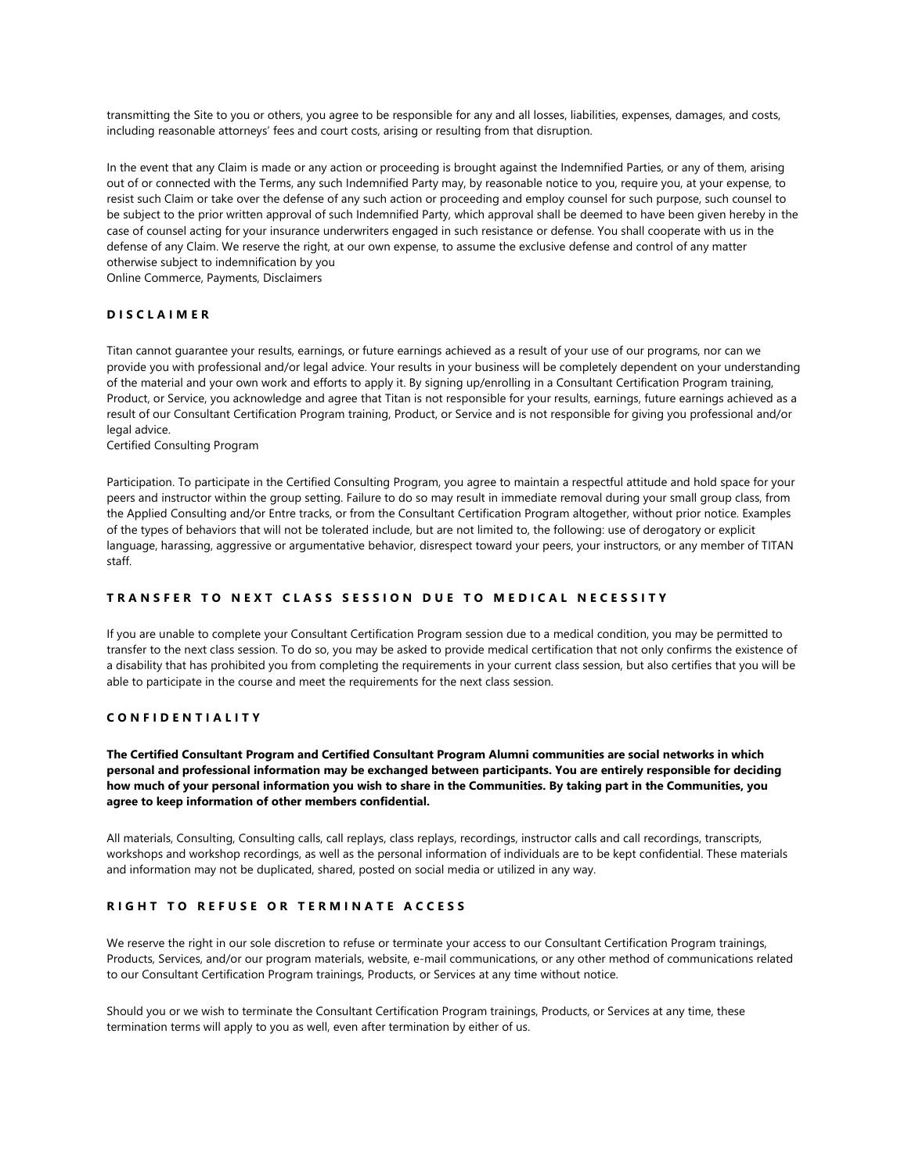transmitting the Site to you or others, you agree to be responsible for any and all losses, liabilities, expenses, damages, and costs, including reasonable attorneys' fees and court costs, arising or resulting from that disruption.

In the event that any Claim is made or any action or proceeding is brought against the Indemnified Parties, or any of them, arising out of or connected with the Terms, any such Indemnified Party may, by reasonable notice to you, require you, at your expense, to resist such Claim or take over the defense of any such action or proceeding and employ counsel for such purpose, such counsel to be subject to the prior written approval of such Indemnified Party, which approval shall be deemed to have been given hereby in the case of counsel acting for your insurance underwriters engaged in such resistance or defense. You shall cooperate with us in the defense of any Claim. We reserve the right, at our own expense, to assume the exclusive defense and control of any matter otherwise subject to indemnification by you

Online Commerce, Payments, Disclaimers

#### **DISCLAIMER**

Titan cannot guarantee your results, earnings, or future earnings achieved as a result of your use of our programs, nor can we provide you with professional and/or legal advice. Your results in your business will be completely dependent on your understanding of the material and your own work and efforts to apply it. By signing up/enrolling in a Consultant Certification Program training, Product, or Service, you acknowledge and agree that Titan is not responsible for your results, earnings, future earnings achieved as a result of our Consultant Certification Program training, Product, or Service and is not responsible for giving you professional and/or legal advice.

Certified Consulting Program

Participation. To participate in the Certified Consulting Program, you agree to maintain a respectful attitude and hold space for your peers and instructor within the group setting. Failure to do so may result in immediate removal during your small group class, from the Applied Consulting and/or Entre tracks, or from the Consultant Certification Program altogether, without prior notice. Examples of the types of behaviors that will not be tolerated include, but are not limited to, the following: use of derogatory or explicit language, harassing, aggressive or argumentative behavior, disrespect toward your peers, your instructors, or any member of TITAN staff.

# **TRANSFER TO NEXT CLASS SESSION DUE TO MEDICAL NECESSITY**

If you are unable to complete your Consultant Certification Program session due to a medical condition, you may be permitted to transfer to the next class session. To do so, you may be asked to provide medical certification that not only confirms the existence of a disability that has prohibited you from completing the requirements in your current class session, but also certifies that you will be able to participate in the course and meet the requirements for the next class session.

### **CONFIDENTIALITY**

**The Certified Consultant Program and Certified Consultant Program Alumni communities are social networks in which personal and professional information may be exchanged between participants. You are entirely responsible for deciding how much of your personal information you wish to share in the Communities. By taking part in the Communities, you agree to keep information of other members confidential.**

All materials, Consulting, Consulting calls, call replays, class replays, recordings, instructor calls and call recordings, transcripts, workshops and workshop recordings, as well as the personal information of individuals are to be kept confidential. These materials and information may not be duplicated, shared, posted on social media or utilized in any way.

# **RIGHT TO REFUSE OR TERMINATE ACCESS**

We reserve the right in our sole discretion to refuse or terminate your access to our Consultant Certification Program trainings, Products, Services, and/or our program materials, website, e-mail communications, or any other method of communications related to our Consultant Certification Program trainings, Products, or Services at any time without notice.

Should you or we wish to terminate the Consultant Certification Program trainings, Products, or Services at any time, these termination terms will apply to you as well, even after termination by either of us.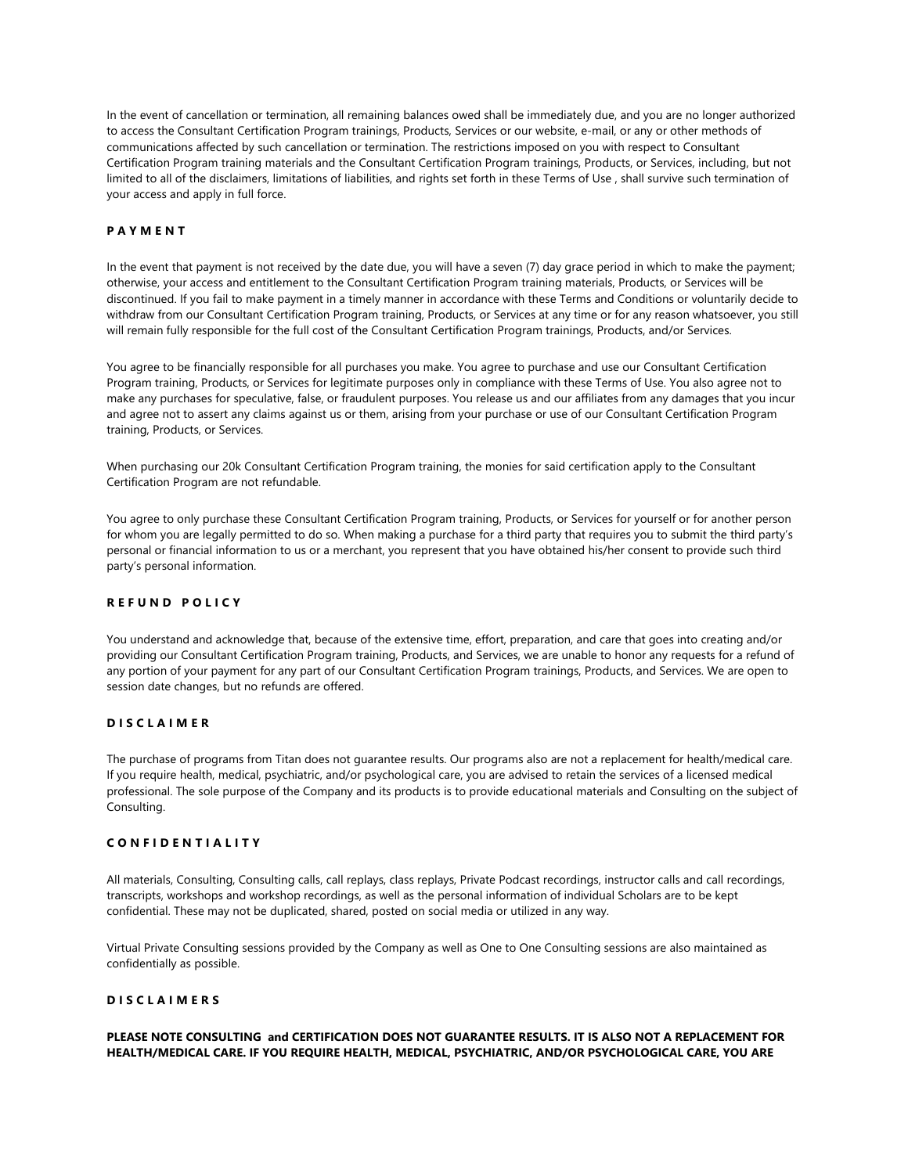In the event of cancellation or termination, all remaining balances owed shall be immediately due, and you are no longer authorized to access the Consultant Certification Program trainings, Products, Services or our website, e-mail, or any or other methods of communications affected by such cancellation or termination. The restrictions imposed on you with respect to Consultant Certification Program training materials and the Consultant Certification Program trainings, Products, or Services, including, but not limited to all of the disclaimers, limitations of liabilities, and rights set forth in these Terms of Use , shall survive such termination of your access and apply in full force.

# **PAYMENT**

In the event that payment is not received by the date due, you will have a seven (7) day grace period in which to make the payment; otherwise, your access and entitlement to the Consultant Certification Program training materials, Products, or Services will be discontinued. If you fail to make payment in a timely manner in accordance with these Terms and Conditions or voluntarily decide to withdraw from our Consultant Certification Program training, Products, or Services at any time or for any reason whatsoever, you still will remain fully responsible for the full cost of the Consultant Certification Program trainings, Products, and/or Services.

You agree to be financially responsible for all purchases you make. You agree to purchase and use our Consultant Certification Program training, Products, or Services for legitimate purposes only in compliance with these Terms of Use. You also agree not to make any purchases for speculative, false, or fraudulent purposes. You release us and our affiliates from any damages that you incur and agree not to assert any claims against us or them, arising from your purchase or use of our Consultant Certification Program training, Products, or Services.

When purchasing our 20k Consultant Certification Program training, the monies for said certification apply to the Consultant Certification Program are not refundable.

You agree to only purchase these Consultant Certification Program training, Products, or Services for yourself or for another person for whom you are legally permitted to do so. When making a purchase for a third party that requires you to submit the third party's personal or financial information to us or a merchant, you represent that you have obtained his/her consent to provide such third party's personal information.

### **REFUND POLICY**

You understand and acknowledge that, because of the extensive time, effort, preparation, and care that goes into creating and/or providing our Consultant Certification Program training, Products, and Services, we are unable to honor any requests for a refund of any portion of your payment for any part of our Consultant Certification Program trainings, Products, and Services. We are open to session date changes, but no refunds are offered.

# **DISCLAIMER**

The purchase of programs from Titan does not guarantee results. Our programs also are not a replacement for health/medical care. If you require health, medical, psychiatric, and/or psychological care, you are advised to retain the services of a licensed medical professional. The sole purpose of the Company and its products is to provide educational materials and Consulting on the subject of Consulting.

#### **CONFIDENTIALITY**

All materials, Consulting, Consulting calls, call replays, class replays, Private Podcast recordings, instructor calls and call recordings, transcripts, workshops and workshop recordings, as well as the personal information of individual Scholars are to be kept confidential. These may not be duplicated, shared, posted on social media or utilized in any way.

Virtual Private Consulting sessions provided by the Company as well as One to One Consulting sessions are also maintained as confidentially as possible.

# **DISCLAIMERS**

# **PLEASE NOTE CONSULTING and CERTIFICATION DOES NOT GUARANTEE RESULTS. IT IS ALSO NOT A REPLACEMENT FOR HEALTH/MEDICAL CARE. IF YOU REQUIRE HEALTH, MEDICAL, PSYCHIATRIC, AND/OR PSYCHOLOGICAL CARE, YOU ARE**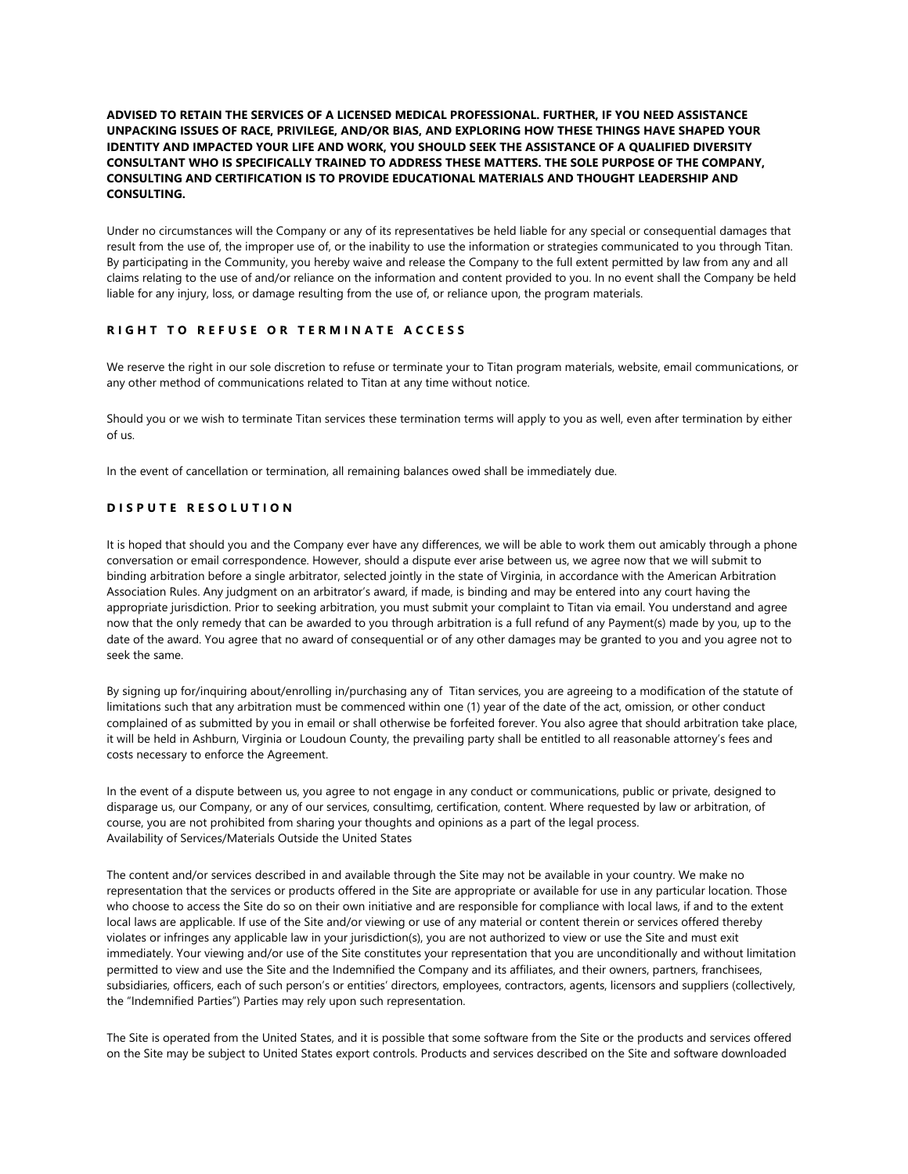## **ADVISED TO RETAIN THE SERVICES OF A LICENSED MEDICAL PROFESSIONAL. FURTHER, IF YOU NEED ASSISTANCE UNPACKING ISSUES OF RACE, PRIVILEGE, AND/OR BIAS, AND EXPLORING HOW THESE THINGS HAVE SHAPED YOUR IDENTITY AND IMPACTED YOUR LIFE AND WORK, YOU SHOULD SEEK THE ASSISTANCE OF A QUALIFIED DIVERSITY CONSULTANT WHO IS SPECIFICALLY TRAINED TO ADDRESS THESE MATTERS. THE SOLE PURPOSE OF THE COMPANY, CONSULTING AND CERTIFICATION IS TO PROVIDE EDUCATIONAL MATERIALS AND THOUGHT LEADERSHIP AND CONSULTING.**

Under no circumstances will the Company or any of its representatives be held liable for any special or consequential damages that result from the use of, the improper use of, or the inability to use the information or strategies communicated to you through Titan. By participating in the Community, you hereby waive and release the Company to the full extent permitted by law from any and all claims relating to the use of and/or reliance on the information and content provided to you. In no event shall the Company be held liable for any injury, loss, or damage resulting from the use of, or reliance upon, the program materials.

# **RIGHT TO REFUSE OR TERMINATE ACCESS**

We reserve the right in our sole discretion to refuse or terminate your to Titan program materials, website, email communications, or any other method of communications related to Titan at any time without notice.

Should you or we wish to terminate Titan services these termination terms will apply to you as well, even after termination by either of us.

In the event of cancellation or termination, all remaining balances owed shall be immediately due.

# **DISPUTE RESOLUTION**

It is hoped that should you and the Company ever have any differences, we will be able to work them out amicably through a phone conversation or email correspondence. However, should a dispute ever arise between us, we agree now that we will submit to binding arbitration before a single arbitrator, selected jointly in the state of Virginia, in accordance with the American Arbitration Association Rules. Any judgment on an arbitrator's award, if made, is binding and may be entered into any court having the appropriate jurisdiction. Prior to seeking arbitration, you must submit your complaint to Titan via email. You understand and agree now that the only remedy that can be awarded to you through arbitration is a full refund of any Payment(s) made by you, up to the date of the award. You agree that no award of consequential or of any other damages may be granted to you and you agree not to seek the same.

By signing up for/inquiring about/enrolling in/purchasing any of Titan services, you are agreeing to a modification of the statute of limitations such that any arbitration must be commenced within one (1) year of the date of the act, omission, or other conduct complained of as submitted by you in email or shall otherwise be forfeited forever. You also agree that should arbitration take place, it will be held in Ashburn, Virginia or Loudoun County, the prevailing party shall be entitled to all reasonable attorney's fees and costs necessary to enforce the Agreement.

In the event of a dispute between us, you agree to not engage in any conduct or communications, public or private, designed to disparage us, our Company, or any of our services, consultimg, certification, content. Where requested by law or arbitration, of course, you are not prohibited from sharing your thoughts and opinions as a part of the legal process. Availability of Services/Materials Outside the United States

The content and/or services described in and available through the Site may not be available in your country. We make no representation that the services or products offered in the Site are appropriate or available for use in any particular location. Those who choose to access the Site do so on their own initiative and are responsible for compliance with local laws, if and to the extent local laws are applicable. If use of the Site and/or viewing or use of any material or content therein or services offered thereby violates or infringes any applicable law in your jurisdiction(s), you are not authorized to view or use the Site and must exit immediately. Your viewing and/or use of the Site constitutes your representation that you are unconditionally and without limitation permitted to view and use the Site and the Indemnified the Company and its affiliates, and their owners, partners, franchisees, subsidiaries, officers, each of such person's or entities' directors, employees, contractors, agents, licensors and suppliers (collectively, the "Indemnified Parties") Parties may rely upon such representation.

The Site is operated from the United States, and it is possible that some software from the Site or the products and services offered on the Site may be subject to United States export controls. Products and services described on the Site and software downloaded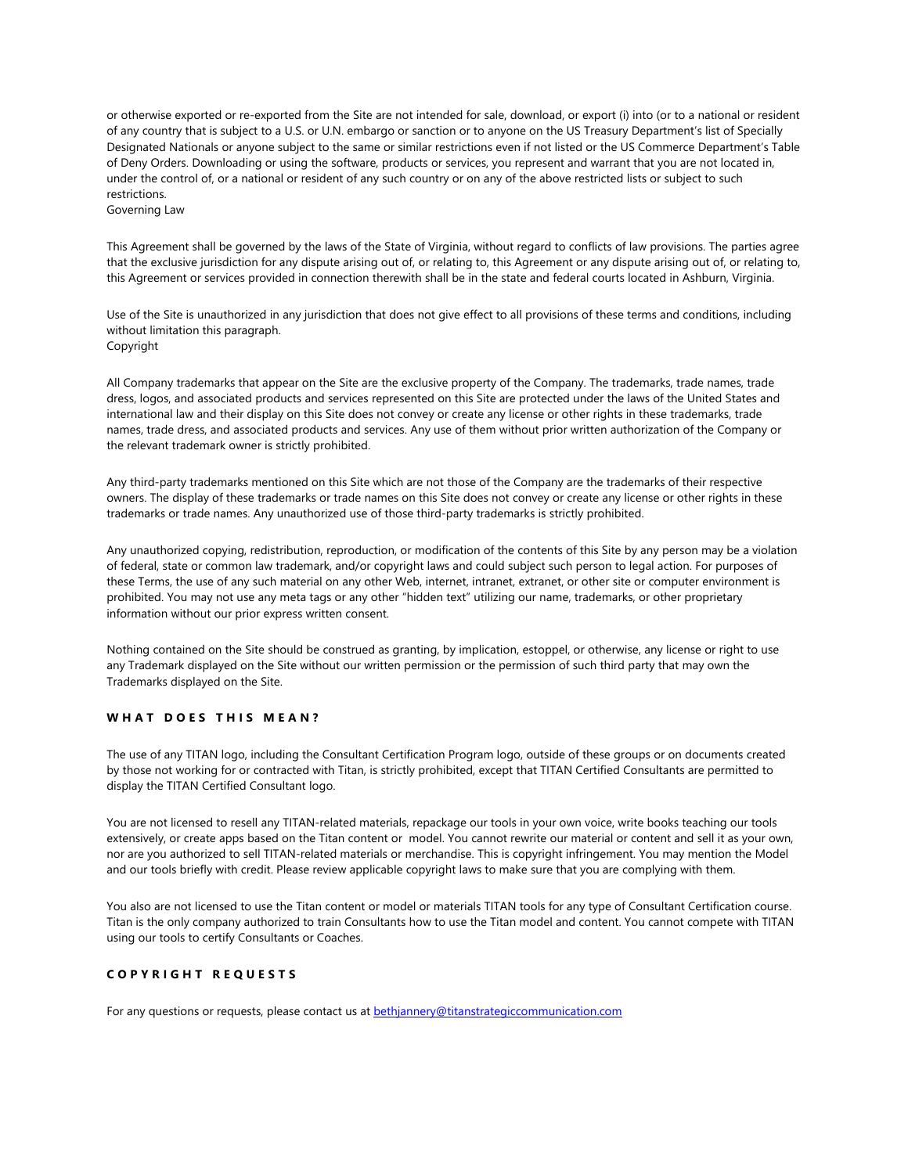or otherwise exported or re-exported from the Site are not intended for sale, download, or export (i) into (or to a national or resident of any country that is subject to a U.S. or U.N. embargo or sanction or to anyone on the US Treasury Department's list of Specially Designated Nationals or anyone subject to the same or similar restrictions even if not listed or the US Commerce Department's Table of Deny Orders. Downloading or using the software, products or services, you represent and warrant that you are not located in, under the control of, or a national or resident of any such country or on any of the above restricted lists or subject to such restrictions.

Governing Law

This Agreement shall be governed by the laws of the State of Virginia, without regard to conflicts of law provisions. The parties agree that the exclusive jurisdiction for any dispute arising out of, or relating to, this Agreement or any dispute arising out of, or relating to, this Agreement or services provided in connection therewith shall be in the state and federal courts located in Ashburn, Virginia.

Use of the Site is unauthorized in any jurisdiction that does not give effect to all provisions of these terms and conditions, including without limitation this paragraph. Copyright

All Company trademarks that appear on the Site are the exclusive property of the Company. The trademarks, trade names, trade dress, logos, and associated products and services represented on this Site are protected under the laws of the United States and international law and their display on this Site does not convey or create any license or other rights in these trademarks, trade names, trade dress, and associated products and services. Any use of them without prior written authorization of the Company or the relevant trademark owner is strictly prohibited.

Any third-party trademarks mentioned on this Site which are not those of the Company are the trademarks of their respective owners. The display of these trademarks or trade names on this Site does not convey or create any license or other rights in these trademarks or trade names. Any unauthorized use of those third-party trademarks is strictly prohibited.

Any unauthorized copying, redistribution, reproduction, or modification of the contents of this Site by any person may be a violation of federal, state or common law trademark, and/or copyright laws and could subject such person to legal action. For purposes of these Terms, the use of any such material on any other Web, internet, intranet, extranet, or other site or computer environment is prohibited. You may not use any meta tags or any other "hidden text" utilizing our name, trademarks, or other proprietary information without our prior express written consent.

Nothing contained on the Site should be construed as granting, by implication, estoppel, or otherwise, any license or right to use any Trademark displayed on the Site without our written permission or the permission of such third party that may own the Trademarks displayed on the Site.

# **WHAT DOES THIS MEAN?**

The use of any TITAN logo, including the Consultant Certification Program logo, outside of these groups or on documents created by those not working for or contracted with Titan, is strictly prohibited, except that TITAN Certified Consultants are permitted to display the TITAN Certified Consultant logo.

You are not licensed to resell any TITAN-related materials, repackage our tools in your own voice, write books teaching our tools extensively, or create apps based on the Titan content or model. You cannot rewrite our material or content and sell it as your own, nor are you authorized to sell TITAN-related materials or merchandise. This is copyright infringement. You may mention the Model and our tools briefly with credit. Please review applicable copyright laws to make sure that you are complying with them.

You also are not licensed to use the Titan content or model or materials TITAN tools for any type of Consultant Certification course. Titan is the only company authorized to train Consultants how to use the Titan model and content. You cannot compete with TITAN using our tools to certify Consultants or Coaches.

### **COPYRIGHT REQUESTS**

For any questions or requests, please contact us at **[bethjannery@titanstrategiccommunication.com](mailto:bethjannery@titanstrategiccommunication.com)**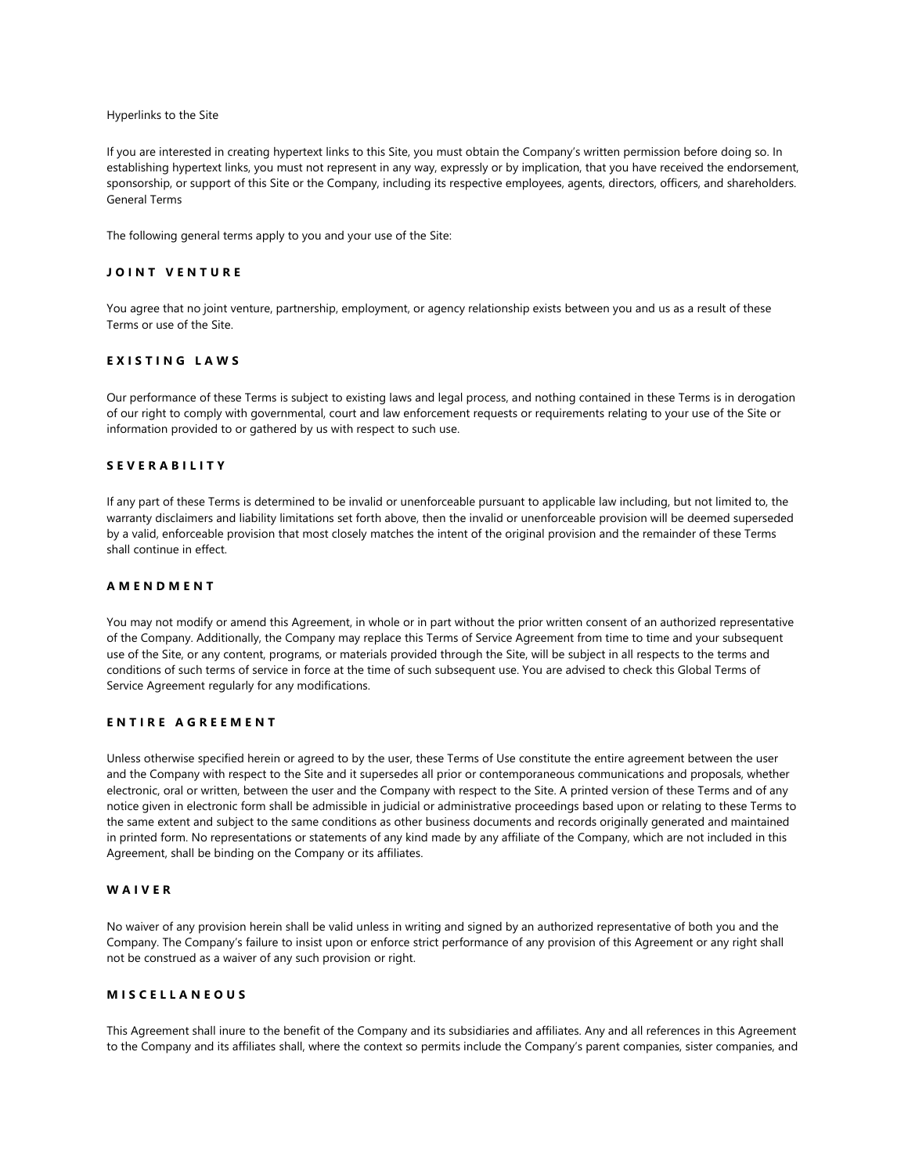#### Hyperlinks to the Site

If you are interested in creating hypertext links to this Site, you must obtain the Company's written permission before doing so. In establishing hypertext links, you must not represent in any way, expressly or by implication, that you have received the endorsement, sponsorship, or support of this Site or the Company, including its respective employees, agents, directors, officers, and shareholders. General Terms

The following general terms apply to you and your use of the Site:

#### **JOINT VENTURE**

You agree that no joint venture, partnership, employment, or agency relationship exists between you and us as a result of these Terms or use of the Site.

## **EXISTING LAWS**

Our performance of these Terms is subject to existing laws and legal process, and nothing contained in these Terms is in derogation of our right to comply with governmental, court and law enforcement requests or requirements relating to your use of the Site or information provided to or gathered by us with respect to such use.

#### **SEVERABILITY**

If any part of these Terms is determined to be invalid or unenforceable pursuant to applicable law including, but not limited to, the warranty disclaimers and liability limitations set forth above, then the invalid or unenforceable provision will be deemed superseded by a valid, enforceable provision that most closely matches the intent of the original provision and the remainder of these Terms shall continue in effect.

### **AMENDMENT**

You may not modify or amend this Agreement, in whole or in part without the prior written consent of an authorized representative of the Company. Additionally, the Company may replace this Terms of Service Agreement from time to time and your subsequent use of the Site, or any content, programs, or materials provided through the Site, will be subject in all respects to the terms and conditions of such terms of service in force at the time of such subsequent use. You are advised to check this Global Terms of Service Agreement regularly for any modifications.

# **ENTIRE AGREEMENT**

Unless otherwise specified herein or agreed to by the user, these Terms of Use constitute the entire agreement between the user and the Company with respect to the Site and it supersedes all prior or contemporaneous communications and proposals, whether electronic, oral or written, between the user and the Company with respect to the Site. A printed version of these Terms and of any notice given in electronic form shall be admissible in judicial or administrative proceedings based upon or relating to these Terms to the same extent and subject to the same conditions as other business documents and records originally generated and maintained in printed form. No representations or statements of any kind made by any affiliate of the Company, which are not included in this Agreement, shall be binding on the Company or its affiliates.

#### **WAIVER**

No waiver of any provision herein shall be valid unless in writing and signed by an authorized representative of both you and the Company. The Company's failure to insist upon or enforce strict performance of any provision of this Agreement or any right shall not be construed as a waiver of any such provision or right.

#### **MISCELLANEOUS**

This Agreement shall inure to the benefit of the Company and its subsidiaries and affiliates. Any and all references in this Agreement to the Company and its affiliates shall, where the context so permits include the Company's parent companies, sister companies, and